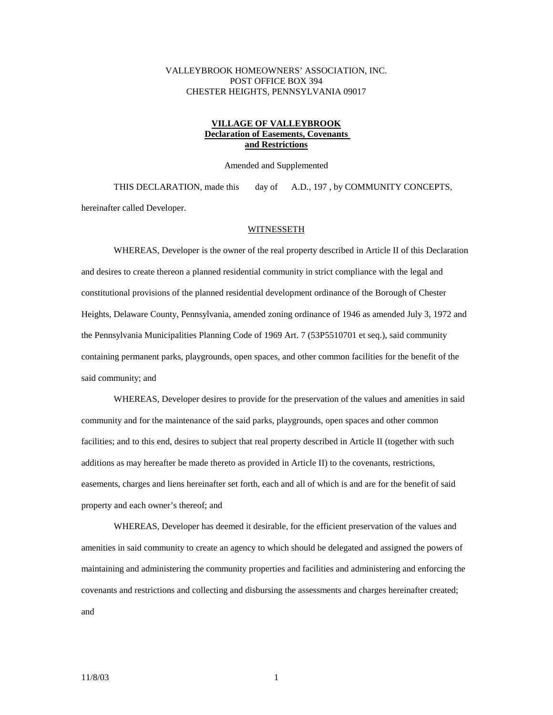# VALLEYBROOK HOMEOWNERS' ASSOCIATION, INC. POST OFFICE BOX 394 CHESTER HEIGHTS, PENNSYLVANIA 09017

# **VILLAGE OF VALLEYBROOK Declaration of Easements, Covenants and Restrictions**

Amended and Supplemented

 THIS DECLARATION, made this day of A.D., 197 , by COMMUNITY CONCEPTS, hereinafter called Developer.

## WITNESSETH

 WHEREAS, Developer is the owner of the real property described in Article II of this Declaration and desires to create thereon a planned residential community in strict compliance with the legal and constitutional provisions of the planned residential development ordinance of the Borough of Chester Heights, Delaware County, Pennsylvania, amended zoning ordinance of 1946 as amended July 3, 1972 and the Pennsylvania Municipalities Planning Code of 1969 Art. 7 (53P5510701 et seq.), said community containing permanent parks, playgrounds, open spaces, and other common facilities for the benefit of the said community; and

 WHEREAS, Developer desires to provide for the preservation of the values and amenities in said community and for the maintenance of the said parks, playgrounds, open spaces and other common facilities; and to this end, desires to subject that real property described in Article II (together with such additions as may hereafter be made thereto as provided in Article II) to the covenants, restrictions, easements, charges and liens hereinafter set forth, each and all of which is and are for the benefit of said property and each owner's thereof; and

 WHEREAS, Developer has deemed it desirable, for the efficient preservation of the values and amenities in said community to create an agency to which should be delegated and assigned the powers of maintaining and administering the community properties and facilities and administering and enforcing the covenants and restrictions and collecting and disbursing the assessments and charges hereinafter created; and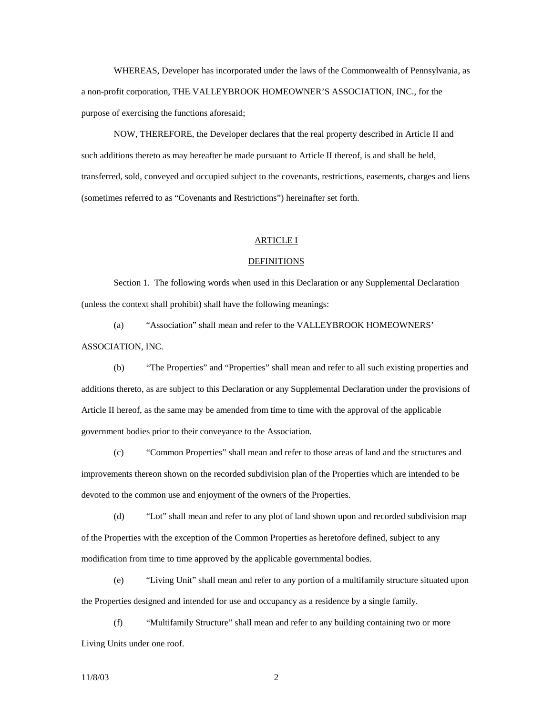WHEREAS, Developer has incorporated under the laws of the Commonwealth of Pennsylvania, as a non-profit corporation, THE VALLEYBROOK HOMEOWNER'S ASSOCIATION, INC., for the purpose of exercising the functions aforesaid;

 NOW, THEREFORE, the Developer declares that the real property described in Article II and such additions thereto as may hereafter be made pursuant to Article II thereof, is and shall be held, transferred, sold, conveyed and occupied subject to the covenants, restrictions, easements, charges and liens (sometimes referred to as "Covenants and Restrictions") hereinafter set forth.

# ARTICLE I

#### DEFINITIONS

 Section 1. The following words when used in this Declaration or any Supplemental Declaration (unless the context shall prohibit) shall have the following meanings:

 (a) "Association" shall mean and refer to the VALLEYBROOK HOMEOWNERS' ASSOCIATION, INC.

 (b) "The Properties" and "Properties" shall mean and refer to all such existing properties and additions thereto, as are subject to this Declaration or any Supplemental Declaration under the provisions of Article II hereof, as the same may be amended from time to time with the approval of the applicable government bodies prior to their conveyance to the Association.

 (c) "Common Properties" shall mean and refer to those areas of land and the structures and improvements thereon shown on the recorded subdivision plan of the Properties which are intended to be devoted to the common use and enjoyment of the owners of the Properties.

 (d) "Lot" shall mean and refer to any plot of land shown upon and recorded subdivision map of the Properties with the exception of the Common Properties as heretofore defined, subject to any modification from time to time approved by the applicable governmental bodies.

 (e) "Living Unit" shall mean and refer to any portion of a multifamily structure situated upon the Properties designed and intended for use and occupancy as a residence by a single family.

 (f) "Multifamily Structure" shall mean and refer to any building containing two or more Living Units under one roof.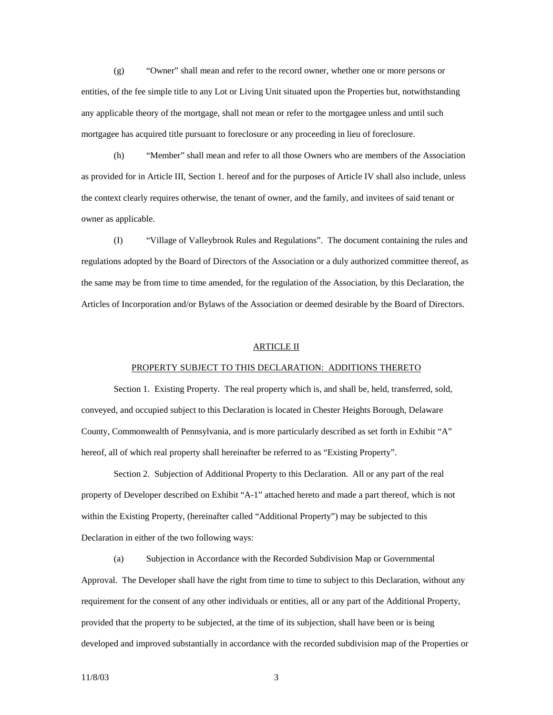(g) "Owner" shall mean and refer to the record owner, whether one or more persons or entities, of the fee simple title to any Lot or Living Unit situated upon the Properties but, notwithstanding any applicable theory of the mortgage, shall not mean or refer to the mortgagee unless and until such mortgagee has acquired title pursuant to foreclosure or any proceeding in lieu of foreclosure.

 (h) "Member" shall mean and refer to all those Owners who are members of the Association as provided for in Article III, Section 1. hereof and for the purposes of Article IV shall also include, unless the context clearly requires otherwise, the tenant of owner, and the family, and invitees of said tenant or owner as applicable.

 (I) "Village of Valleybrook Rules and Regulations". The document containing the rules and regulations adopted by the Board of Directors of the Association or a duly authorized committee thereof, as the same may be from time to time amended, for the regulation of the Association, by this Declaration, the Articles of Incorporation and/or Bylaws of the Association or deemed desirable by the Board of Directors.

# ARTICLE II

## PROPERTY SUBJECT TO THIS DECLARATION: ADDITIONS THERETO

 Section 1. Existing Property. The real property which is, and shall be, held, transferred, sold, conveyed, and occupied subject to this Declaration is located in Chester Heights Borough, Delaware County, Commonwealth of Pennsylvania, and is more particularly described as set forth in Exhibit "A" hereof, all of which real property shall hereinafter be referred to as "Existing Property".

 Section 2. Subjection of Additional Property to this Declaration. All or any part of the real property of Developer described on Exhibit "A-1" attached hereto and made a part thereof, which is not within the Existing Property, (hereinafter called "Additional Property") may be subjected to this Declaration in either of the two following ways:

 (a) Subjection in Accordance with the Recorded Subdivision Map or Governmental Approval. The Developer shall have the right from time to time to subject to this Declaration, without any requirement for the consent of any other individuals or entities, all or any part of the Additional Property, provided that the property to be subjected, at the time of its subjection, shall have been or is being developed and improved substantially in accordance with the recorded subdivision map of the Properties or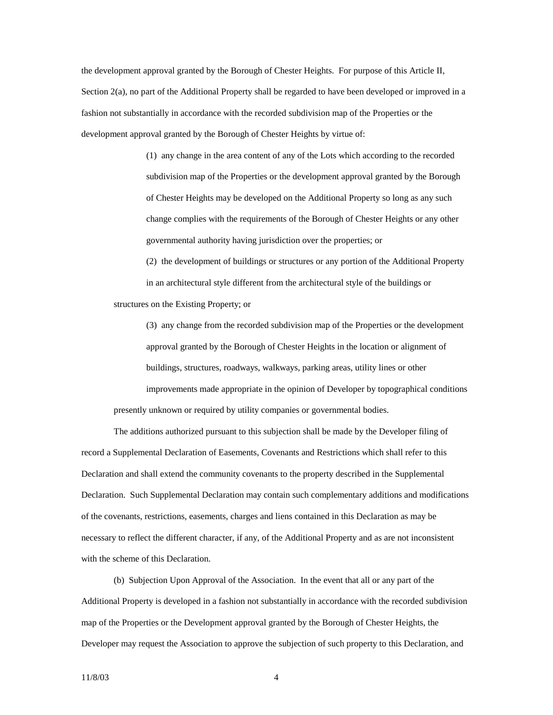the development approval granted by the Borough of Chester Heights. For purpose of this Article II, Section 2(a), no part of the Additional Property shall be regarded to have been developed or improved in a fashion not substantially in accordance with the recorded subdivision map of the Properties or the development approval granted by the Borough of Chester Heights by virtue of:

> (1) any change in the area content of any of the Lots which according to the recorded subdivision map of the Properties or the development approval granted by the Borough of Chester Heights may be developed on the Additional Property so long as any such change complies with the requirements of the Borough of Chester Heights or any other governmental authority having jurisdiction over the properties; or

 (2) the development of buildings or structures or any portion of the Additional Property in an architectural style different from the architectural style of the buildings or structures on the Existing Property; or

 (3) any change from the recorded subdivision map of the Properties or the development approval granted by the Borough of Chester Heights in the location or alignment of buildings, structures, roadways, walkways, parking areas, utility lines or other improvements made appropriate in the opinion of Developer by topographical conditions presently unknown or required by utility companies or governmental bodies.

 The additions authorized pursuant to this subjection shall be made by the Developer filing of record a Supplemental Declaration of Easements, Covenants and Restrictions which shall refer to this Declaration and shall extend the community covenants to the property described in the Supplemental Declaration. Such Supplemental Declaration may contain such complementary additions and modifications of the covenants, restrictions, easements, charges and liens contained in this Declaration as may be necessary to reflect the different character, if any, of the Additional Property and as are not inconsistent with the scheme of this Declaration.

 (b) Subjection Upon Approval of the Association. In the event that all or any part of the Additional Property is developed in a fashion not substantially in accordance with the recorded subdivision map of the Properties or the Development approval granted by the Borough of Chester Heights, the Developer may request the Association to approve the subjection of such property to this Declaration, and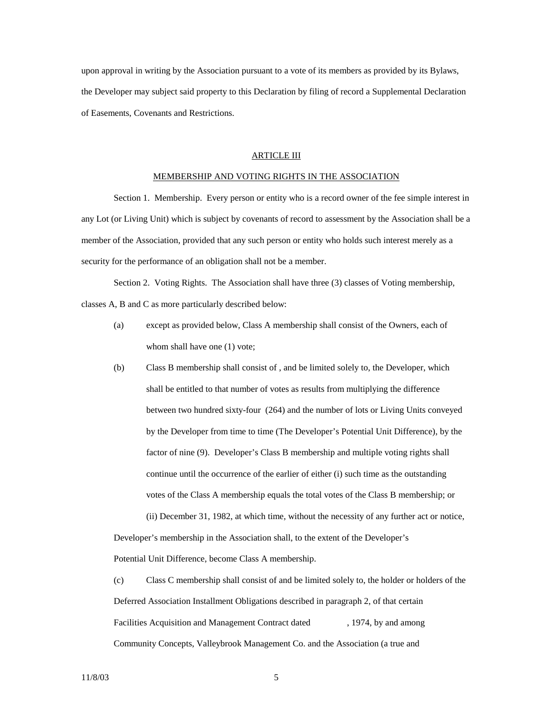upon approval in writing by the Association pursuant to a vote of its members as provided by its Bylaws, the Developer may subject said property to this Declaration by filing of record a Supplemental Declaration of Easements, Covenants and Restrictions.

## ARTICLE III

#### MEMBERSHIP AND VOTING RIGHTS IN THE ASSOCIATION

 Section 1. Membership. Every person or entity who is a record owner of the fee simple interest in any Lot (or Living Unit) which is subject by covenants of record to assessment by the Association shall be a member of the Association, provided that any such person or entity who holds such interest merely as a security for the performance of an obligation shall not be a member.

 Section 2. Voting Rights. The Association shall have three (3) classes of Voting membership, classes A, B and C as more particularly described below:

- (a) except as provided below, Class A membership shall consist of the Owners, each of whom shall have one  $(1)$  vote;
- (b) Class B membership shall consist of , and be limited solely to, the Developer, which shall be entitled to that number of votes as results from multiplying the difference between two hundred sixty-four (264) and the number of lots or Living Units conveyed by the Developer from time to time (The Developer's Potential Unit Difference), by the factor of nine (9). Developer's Class B membership and multiple voting rights shall continue until the occurrence of the earlier of either (i) such time as the outstanding votes of the Class A membership equals the total votes of the Class B membership; or (ii) December 31, 1982, at which time, without the necessity of any further act or notice,

 Developer's membership in the Association shall, to the extent of the Developer's Potential Unit Difference, become Class A membership.

 (c) Class C membership shall consist of and be limited solely to, the holder or holders of the Deferred Association Installment Obligations described in paragraph 2, of that certain Facilities Acquisition and Management Contract dated , 1974, by and among Community Concepts, Valleybrook Management Co. and the Association (a true and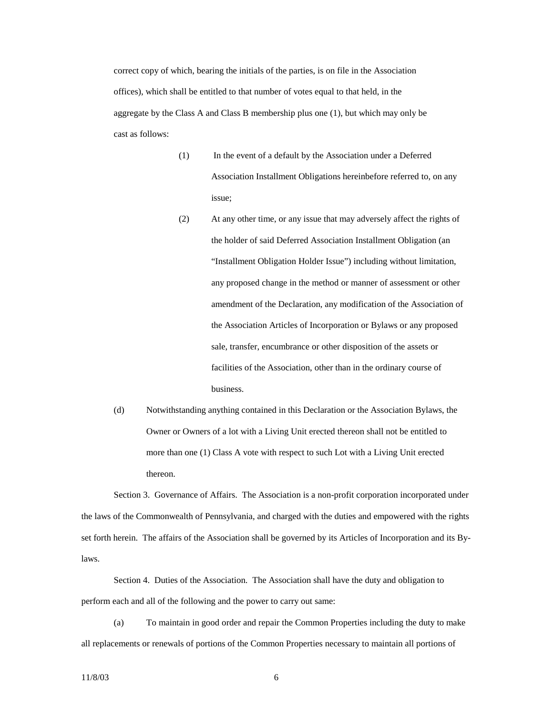correct copy of which, bearing the initials of the parties, is on file in the Association offices), which shall be entitled to that number of votes equal to that held, in the aggregate by the Class A and Class B membership plus one (1), but which may only be cast as follows:

- (1) In the event of a default by the Association under a Deferred Association Installment Obligations hereinbefore referred to, on any issue;
- (2) At any other time, or any issue that may adversely affect the rights of the holder of said Deferred Association Installment Obligation (an "Installment Obligation Holder Issue") including without limitation, any proposed change in the method or manner of assessment or other amendment of the Declaration, any modification of the Association of the Association Articles of Incorporation or Bylaws or any proposed sale, transfer, encumbrance or other disposition of the assets or facilities of the Association, other than in the ordinary course of business.
- (d) Notwithstanding anything contained in this Declaration or the Association Bylaws, the Owner or Owners of a lot with a Living Unit erected thereon shall not be entitled to more than one (1) Class A vote with respect to such Lot with a Living Unit erected thereon.

 Section 3. Governance of Affairs. The Association is a non-profit corporation incorporated under the laws of the Commonwealth of Pennsylvania, and charged with the duties and empowered with the rights set forth herein. The affairs of the Association shall be governed by its Articles of Incorporation and its Bylaws.

 Section 4. Duties of the Association. The Association shall have the duty and obligation to perform each and all of the following and the power to carry out same:

 (a) To maintain in good order and repair the Common Properties including the duty to make all replacements or renewals of portions of the Common Properties necessary to maintain all portions of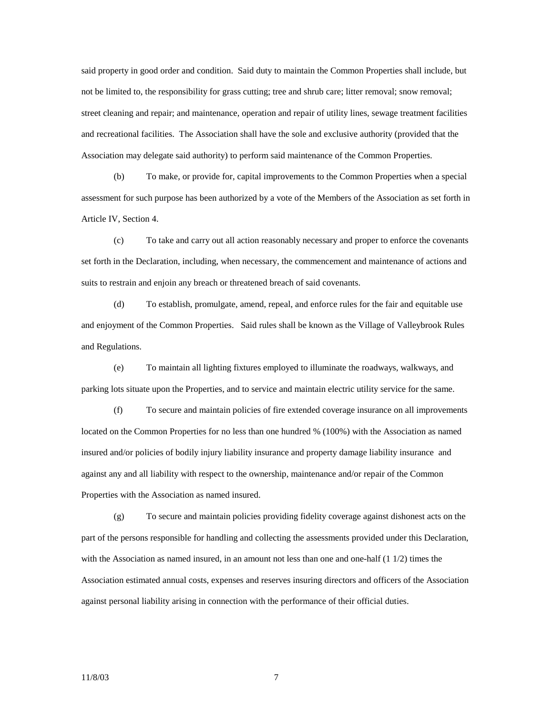said property in good order and condition. Said duty to maintain the Common Properties shall include, but not be limited to, the responsibility for grass cutting; tree and shrub care; litter removal; snow removal; street cleaning and repair; and maintenance, operation and repair of utility lines, sewage treatment facilities and recreational facilities. The Association shall have the sole and exclusive authority (provided that the Association may delegate said authority) to perform said maintenance of the Common Properties.

 (b) To make, or provide for, capital improvements to the Common Properties when a special assessment for such purpose has been authorized by a vote of the Members of the Association as set forth in Article IV, Section 4.

 (c) To take and carry out all action reasonably necessary and proper to enforce the covenants set forth in the Declaration, including, when necessary, the commencement and maintenance of actions and suits to restrain and enjoin any breach or threatened breach of said covenants.

 (d) To establish, promulgate, amend, repeal, and enforce rules for the fair and equitable use and enjoyment of the Common Properties. Said rules shall be known as the Village of Valleybrook Rules and Regulations.

 (e) To maintain all lighting fixtures employed to illuminate the roadways, walkways, and parking lots situate upon the Properties, and to service and maintain electric utility service for the same.

 (f) To secure and maintain policies of fire extended coverage insurance on all improvements located on the Common Properties for no less than one hundred % (100%) with the Association as named insured and/or policies of bodily injury liability insurance and property damage liability insurance and against any and all liability with respect to the ownership, maintenance and/or repair of the Common Properties with the Association as named insured.

 (g) To secure and maintain policies providing fidelity coverage against dishonest acts on the part of the persons responsible for handling and collecting the assessments provided under this Declaration, with the Association as named insured, in an amount not less than one and one-half  $(1\ 1/2)$  times the Association estimated annual costs, expenses and reserves insuring directors and officers of the Association against personal liability arising in connection with the performance of their official duties.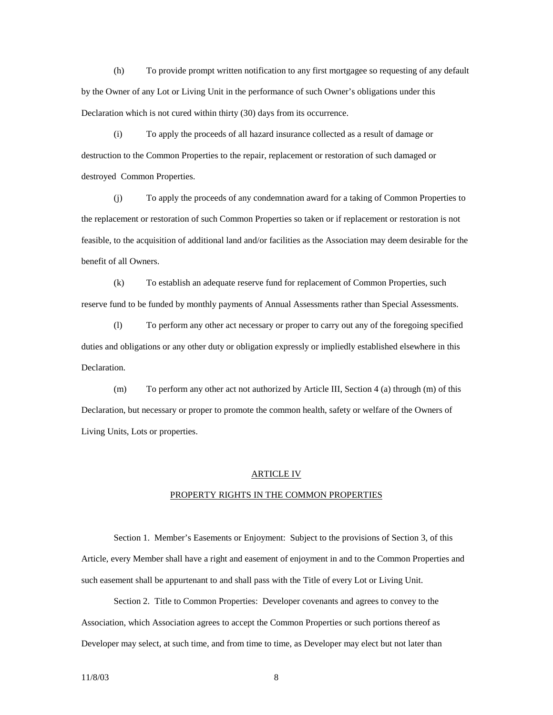(h) To provide prompt written notification to any first mortgagee so requesting of any default by the Owner of any Lot or Living Unit in the performance of such Owner's obligations under this Declaration which is not cured within thirty (30) days from its occurrence.

 (i) To apply the proceeds of all hazard insurance collected as a result of damage or destruction to the Common Properties to the repair, replacement or restoration of such damaged or destroyed Common Properties.

 (j) To apply the proceeds of any condemnation award for a taking of Common Properties to the replacement or restoration of such Common Properties so taken or if replacement or restoration is not feasible, to the acquisition of additional land and/or facilities as the Association may deem desirable for the benefit of all Owners.

 (k) To establish an adequate reserve fund for replacement of Common Properties, such reserve fund to be funded by monthly payments of Annual Assessments rather than Special Assessments.

 (l) To perform any other act necessary or proper to carry out any of the foregoing specified duties and obligations or any other duty or obligation expressly or impliedly established elsewhere in this Declaration.

 (m) To perform any other act not authorized by Article III, Section 4 (a) through (m) of this Declaration, but necessary or proper to promote the common health, safety or welfare of the Owners of Living Units, Lots or properties.

#### ARTICLE IV

#### PROPERTY RIGHTS IN THE COMMON PROPERTIES

 Section 1. Member's Easements or Enjoyment: Subject to the provisions of Section 3, of this Article, every Member shall have a right and easement of enjoyment in and to the Common Properties and such easement shall be appurtenant to and shall pass with the Title of every Lot or Living Unit.

 Section 2. Title to Common Properties: Developer covenants and agrees to convey to the Association, which Association agrees to accept the Common Properties or such portions thereof as Developer may select, at such time, and from time to time, as Developer may elect but not later than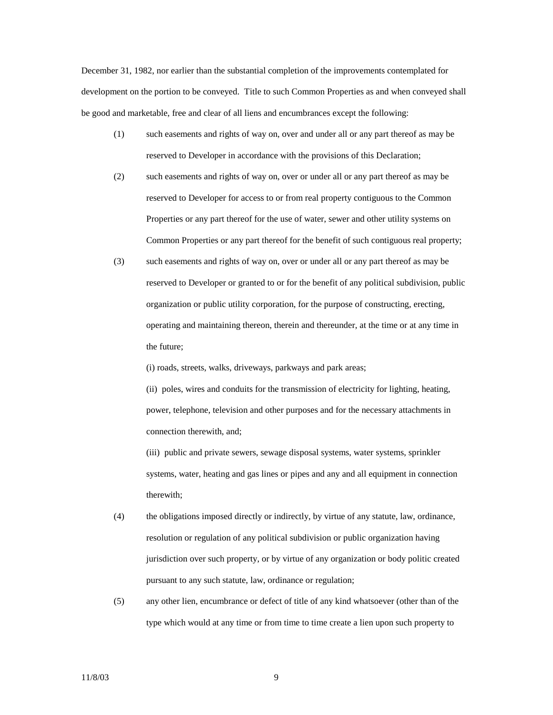December 31, 1982, nor earlier than the substantial completion of the improvements contemplated for development on the portion to be conveyed. Title to such Common Properties as and when conveyed shall be good and marketable, free and clear of all liens and encumbrances except the following:

- (1) such easements and rights of way on, over and under all or any part thereof as may be reserved to Developer in accordance with the provisions of this Declaration;
- (2) such easements and rights of way on, over or under all or any part thereof as may be reserved to Developer for access to or from real property contiguous to the Common Properties or any part thereof for the use of water, sewer and other utility systems on Common Properties or any part thereof for the benefit of such contiguous real property;
- (3) such easements and rights of way on, over or under all or any part thereof as may be reserved to Developer or granted to or for the benefit of any political subdivision, public organization or public utility corporation, for the purpose of constructing, erecting, operating and maintaining thereon, therein and thereunder, at the time or at any time in the future;

(i) roads, streets, walks, driveways, parkways and park areas;

 (ii) poles, wires and conduits for the transmission of electricity for lighting, heating, power, telephone, television and other purposes and for the necessary attachments in connection therewith, and;

 (iii) public and private sewers, sewage disposal systems, water systems, sprinkler systems, water, heating and gas lines or pipes and any and all equipment in connection therewith;

- (4) the obligations imposed directly or indirectly, by virtue of any statute, law, ordinance, resolution or regulation of any political subdivision or public organization having jurisdiction over such property, or by virtue of any organization or body politic created pursuant to any such statute, law, ordinance or regulation;
- (5) any other lien, encumbrance or defect of title of any kind whatsoever (other than of the type which would at any time or from time to time create a lien upon such property to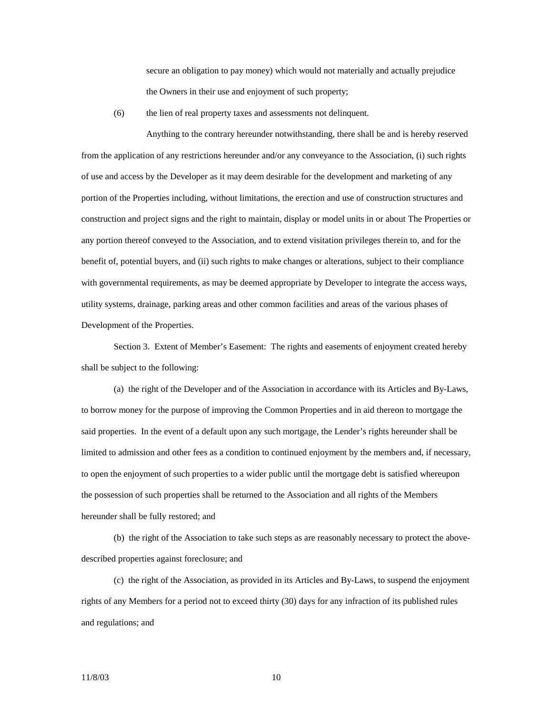secure an obligation to pay money) which would not materially and actually prejudice the Owners in their use and enjoyment of such property;

(6) the lien of real property taxes and assessments not delinquent.

 Anything to the contrary hereunder notwithstanding, there shall be and is hereby reserved from the application of any restrictions hereunder and/or any conveyance to the Association, (i) such rights of use and access by the Developer as it may deem desirable for the development and marketing of any portion of the Properties including, without limitations, the erection and use of construction structures and construction and project signs and the right to maintain, display or model units in or about The Properties or any portion thereof conveyed to the Association, and to extend visitation privileges therein to, and for the benefit of, potential buyers, and (ii) such rights to make changes or alterations, subject to their compliance with governmental requirements, as may be deemed appropriate by Developer to integrate the access ways, utility systems, drainage, parking areas and other common facilities and areas of the various phases of Development of the Properties.

 Section 3. Extent of Member's Easement: The rights and easements of enjoyment created hereby shall be subject to the following:

 (a) the right of the Developer and of the Association in accordance with its Articles and By-Laws, to borrow money for the purpose of improving the Common Properties and in aid thereon to mortgage the said properties. In the event of a default upon any such mortgage, the Lender's rights hereunder shall be limited to admission and other fees as a condition to continued enjoyment by the members and, if necessary, to open the enjoyment of such properties to a wider public until the mortgage debt is satisfied whereupon the possession of such properties shall be returned to the Association and all rights of the Members hereunder shall be fully restored; and

 (b) the right of the Association to take such steps as are reasonably necessary to protect the abovedescribed properties against foreclosure; and

 (c) the right of the Association, as provided in its Articles and By-Laws, to suspend the enjoyment rights of any Members for a period not to exceed thirty (30) days for any infraction of its published rules and regulations; and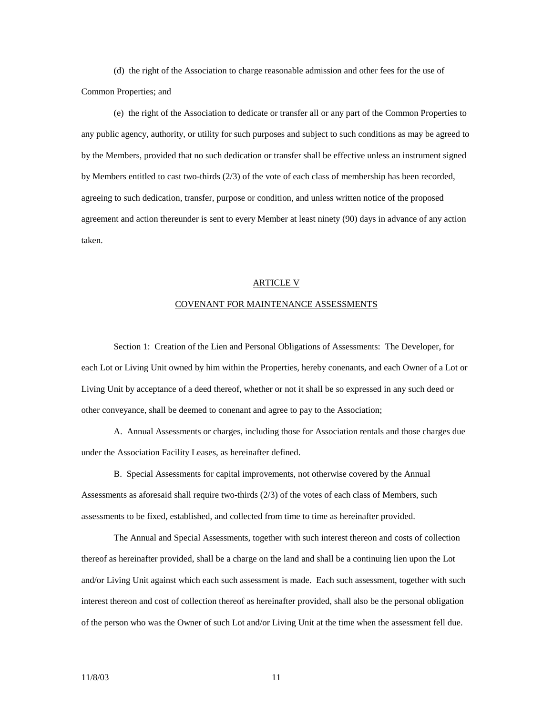(d) the right of the Association to charge reasonable admission and other fees for the use of Common Properties; and

 (e) the right of the Association to dedicate or transfer all or any part of the Common Properties to any public agency, authority, or utility for such purposes and subject to such conditions as may be agreed to by the Members, provided that no such dedication or transfer shall be effective unless an instrument signed by Members entitled to cast two-thirds (2/3) of the vote of each class of membership has been recorded, agreeing to such dedication, transfer, purpose or condition, and unless written notice of the proposed agreement and action thereunder is sent to every Member at least ninety (90) days in advance of any action taken.

## ARTICLE V

## COVENANT FOR MAINTENANCE ASSESSMENTS

 Section 1: Creation of the Lien and Personal Obligations of Assessments: The Developer, for each Lot or Living Unit owned by him within the Properties, hereby conenants, and each Owner of a Lot or Living Unit by acceptance of a deed thereof, whether or not it shall be so expressed in any such deed or other conveyance, shall be deemed to conenant and agree to pay to the Association;

 A. Annual Assessments or charges, including those for Association rentals and those charges due under the Association Facility Leases, as hereinafter defined.

 B. Special Assessments for capital improvements, not otherwise covered by the Annual Assessments as aforesaid shall require two-thirds (2/3) of the votes of each class of Members, such assessments to be fixed, established, and collected from time to time as hereinafter provided.

 The Annual and Special Assessments, together with such interest thereon and costs of collection thereof as hereinafter provided, shall be a charge on the land and shall be a continuing lien upon the Lot and/or Living Unit against which each such assessment is made. Each such assessment, together with such interest thereon and cost of collection thereof as hereinafter provided, shall also be the personal obligation of the person who was the Owner of such Lot and/or Living Unit at the time when the assessment fell due.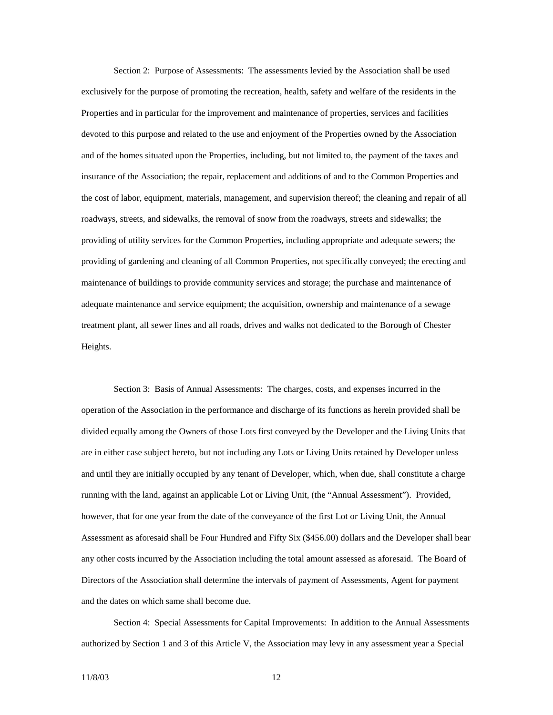Section 2: Purpose of Assessments: The assessments levied by the Association shall be used exclusively for the purpose of promoting the recreation, health, safety and welfare of the residents in the Properties and in particular for the improvement and maintenance of properties, services and facilities devoted to this purpose and related to the use and enjoyment of the Properties owned by the Association and of the homes situated upon the Properties, including, but not limited to, the payment of the taxes and insurance of the Association; the repair, replacement and additions of and to the Common Properties and the cost of labor, equipment, materials, management, and supervision thereof; the cleaning and repair of all roadways, streets, and sidewalks, the removal of snow from the roadways, streets and sidewalks; the providing of utility services for the Common Properties, including appropriate and adequate sewers; the providing of gardening and cleaning of all Common Properties, not specifically conveyed; the erecting and maintenance of buildings to provide community services and storage; the purchase and maintenance of adequate maintenance and service equipment; the acquisition, ownership and maintenance of a sewage treatment plant, all sewer lines and all roads, drives and walks not dedicated to the Borough of Chester Heights.

 Section 3: Basis of Annual Assessments: The charges, costs, and expenses incurred in the operation of the Association in the performance and discharge of its functions as herein provided shall be divided equally among the Owners of those Lots first conveyed by the Developer and the Living Units that are in either case subject hereto, but not including any Lots or Living Units retained by Developer unless and until they are initially occupied by any tenant of Developer, which, when due, shall constitute a charge running with the land, against an applicable Lot or Living Unit, (the "Annual Assessment"). Provided, however, that for one year from the date of the conveyance of the first Lot or Living Unit, the Annual Assessment as aforesaid shall be Four Hundred and Fifty Six (\$456.00) dollars and the Developer shall bear any other costs incurred by the Association including the total amount assessed as aforesaid. The Board of Directors of the Association shall determine the intervals of payment of Assessments, Agent for payment and the dates on which same shall become due.

 Section 4: Special Assessments for Capital Improvements: In addition to the Annual Assessments authorized by Section 1 and 3 of this Article V, the Association may levy in any assessment year a Special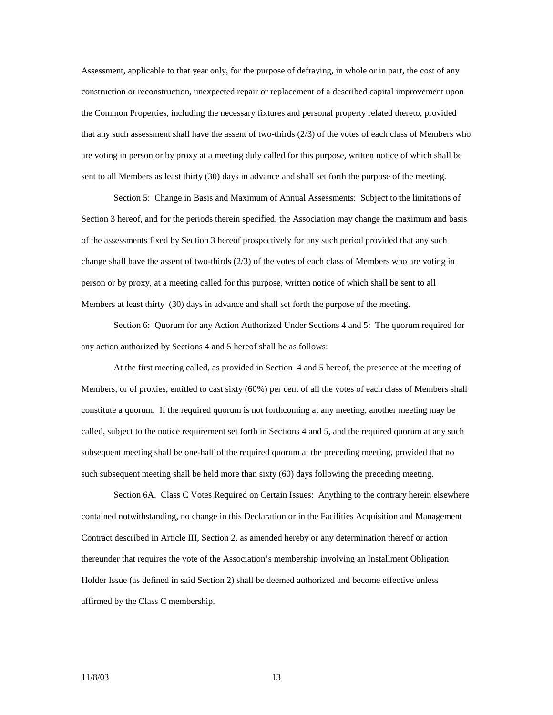Assessment, applicable to that year only, for the purpose of defraying, in whole or in part, the cost of any construction or reconstruction, unexpected repair or replacement of a described capital improvement upon the Common Properties, including the necessary fixtures and personal property related thereto, provided that any such assessment shall have the assent of two-thirds (2/3) of the votes of each class of Members who are voting in person or by proxy at a meeting duly called for this purpose, written notice of which shall be sent to all Members as least thirty (30) days in advance and shall set forth the purpose of the meeting.

 Section 5: Change in Basis and Maximum of Annual Assessments: Subject to the limitations of Section 3 hereof, and for the periods therein specified, the Association may change the maximum and basis of the assessments fixed by Section 3 hereof prospectively for any such period provided that any such change shall have the assent of two-thirds (2/3) of the votes of each class of Members who are voting in person or by proxy, at a meeting called for this purpose, written notice of which shall be sent to all Members at least thirty (30) days in advance and shall set forth the purpose of the meeting.

 Section 6: Quorum for any Action Authorized Under Sections 4 and 5: The quorum required for any action authorized by Sections 4 and 5 hereof shall be as follows:

 At the first meeting called, as provided in Section 4 and 5 hereof, the presence at the meeting of Members, or of proxies, entitled to cast sixty (60%) per cent of all the votes of each class of Members shall constitute a quorum. If the required quorum is not forthcoming at any meeting, another meeting may be called, subject to the notice requirement set forth in Sections 4 and 5, and the required quorum at any such subsequent meeting shall be one-half of the required quorum at the preceding meeting, provided that no such subsequent meeting shall be held more than sixty (60) days following the preceding meeting.

 Section 6A. Class C Votes Required on Certain Issues: Anything to the contrary herein elsewhere contained notwithstanding, no change in this Declaration or in the Facilities Acquisition and Management Contract described in Article III, Section 2, as amended hereby or any determination thereof or action thereunder that requires the vote of the Association's membership involving an Installment Obligation Holder Issue (as defined in said Section 2) shall be deemed authorized and become effective unless affirmed by the Class C membership.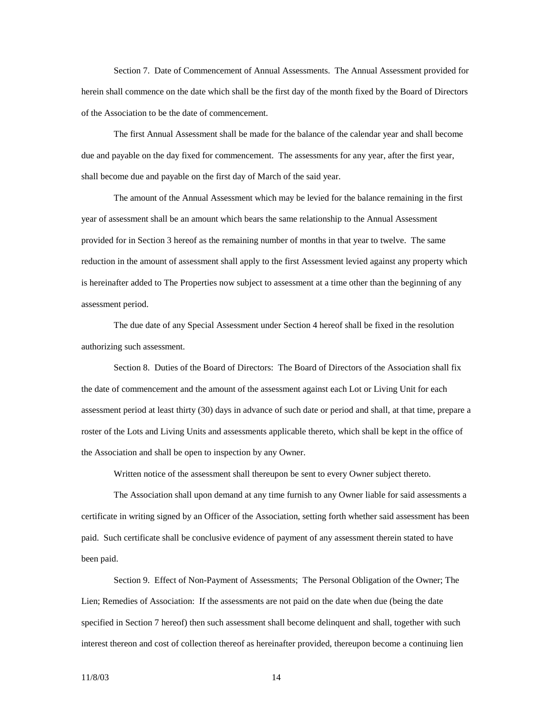Section 7. Date of Commencement of Annual Assessments. The Annual Assessment provided for herein shall commence on the date which shall be the first day of the month fixed by the Board of Directors of the Association to be the date of commencement.

 The first Annual Assessment shall be made for the balance of the calendar year and shall become due and payable on the day fixed for commencement. The assessments for any year, after the first year, shall become due and payable on the first day of March of the said year.

 The amount of the Annual Assessment which may be levied for the balance remaining in the first year of assessment shall be an amount which bears the same relationship to the Annual Assessment provided for in Section 3 hereof as the remaining number of months in that year to twelve. The same reduction in the amount of assessment shall apply to the first Assessment levied against any property which is hereinafter added to The Properties now subject to assessment at a time other than the beginning of any assessment period.

 The due date of any Special Assessment under Section 4 hereof shall be fixed in the resolution authorizing such assessment.

 Section 8. Duties of the Board of Directors: The Board of Directors of the Association shall fix the date of commencement and the amount of the assessment against each Lot or Living Unit for each assessment period at least thirty (30) days in advance of such date or period and shall, at that time, prepare a roster of the Lots and Living Units and assessments applicable thereto, which shall be kept in the office of the Association and shall be open to inspection by any Owner.

Written notice of the assessment shall thereupon be sent to every Owner subject thereto.

 The Association shall upon demand at any time furnish to any Owner liable for said assessments a certificate in writing signed by an Officer of the Association, setting forth whether said assessment has been paid. Such certificate shall be conclusive evidence of payment of any assessment therein stated to have been paid.

 Section 9. Effect of Non-Payment of Assessments; The Personal Obligation of the Owner; The Lien; Remedies of Association: If the assessments are not paid on the date when due (being the date specified in Section 7 hereof) then such assessment shall become delinquent and shall, together with such interest thereon and cost of collection thereof as hereinafter provided, thereupon become a continuing lien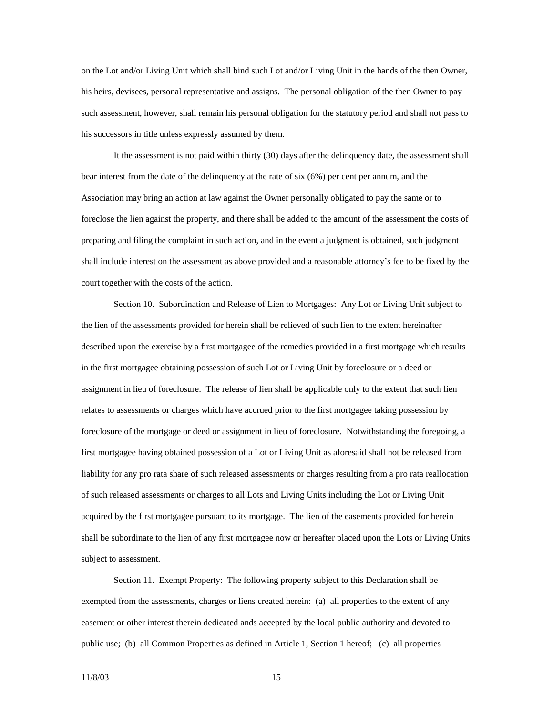on the Lot and/or Living Unit which shall bind such Lot and/or Living Unit in the hands of the then Owner, his heirs, devisees, personal representative and assigns. The personal obligation of the then Owner to pay such assessment, however, shall remain his personal obligation for the statutory period and shall not pass to his successors in title unless expressly assumed by them.

 It the assessment is not paid within thirty (30) days after the delinquency date, the assessment shall bear interest from the date of the delinquency at the rate of six (6%) per cent per annum, and the Association may bring an action at law against the Owner personally obligated to pay the same or to foreclose the lien against the property, and there shall be added to the amount of the assessment the costs of preparing and filing the complaint in such action, and in the event a judgment is obtained, such judgment shall include interest on the assessment as above provided and a reasonable attorney's fee to be fixed by the court together with the costs of the action.

 Section 10. Subordination and Release of Lien to Mortgages: Any Lot or Living Unit subject to the lien of the assessments provided for herein shall be relieved of such lien to the extent hereinafter described upon the exercise by a first mortgagee of the remedies provided in a first mortgage which results in the first mortgagee obtaining possession of such Lot or Living Unit by foreclosure or a deed or assignment in lieu of foreclosure. The release of lien shall be applicable only to the extent that such lien relates to assessments or charges which have accrued prior to the first mortgagee taking possession by foreclosure of the mortgage or deed or assignment in lieu of foreclosure. Notwithstanding the foregoing, a first mortgagee having obtained possession of a Lot or Living Unit as aforesaid shall not be released from liability for any pro rata share of such released assessments or charges resulting from a pro rata reallocation of such released assessments or charges to all Lots and Living Units including the Lot or Living Unit acquired by the first mortgagee pursuant to its mortgage. The lien of the easements provided for herein shall be subordinate to the lien of any first mortgagee now or hereafter placed upon the Lots or Living Units subject to assessment.

 Section 11. Exempt Property: The following property subject to this Declaration shall be exempted from the assessments, charges or liens created herein: (a) all properties to the extent of any easement or other interest therein dedicated ands accepted by the local public authority and devoted to public use; (b) all Common Properties as defined in Article 1, Section 1 hereof; (c) all properties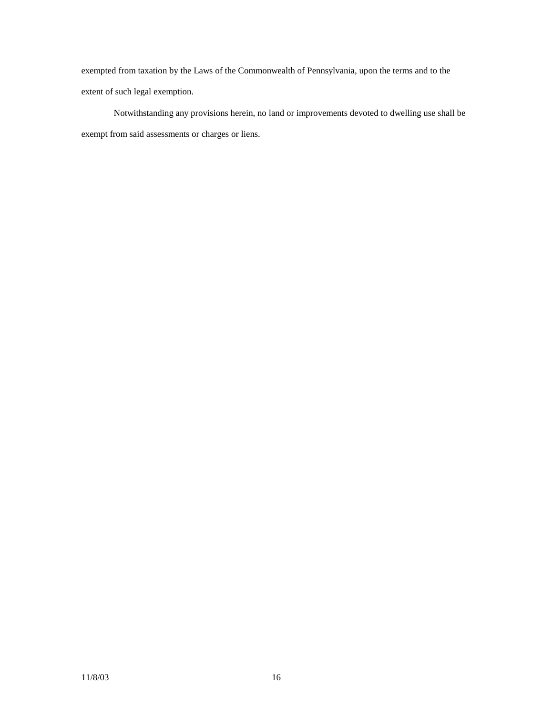exempted from taxation by the Laws of the Commonwealth of Pennsylvania, upon the terms and to the extent of such legal exemption.

 Notwithstanding any provisions herein, no land or improvements devoted to dwelling use shall be exempt from said assessments or charges or liens.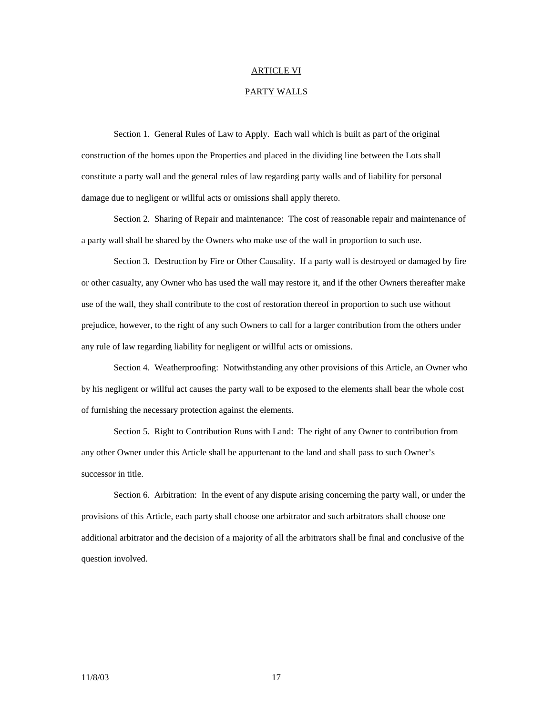## ARTICLE VI

## PARTY WALLS

 Section 1. General Rules of Law to Apply. Each wall which is built as part of the original construction of the homes upon the Properties and placed in the dividing line between the Lots shall constitute a party wall and the general rules of law regarding party walls and of liability for personal damage due to negligent or willful acts or omissions shall apply thereto.

 Section 2. Sharing of Repair and maintenance: The cost of reasonable repair and maintenance of a party wall shall be shared by the Owners who make use of the wall in proportion to such use.

 Section 3. Destruction by Fire or Other Causality. If a party wall is destroyed or damaged by fire or other casualty, any Owner who has used the wall may restore it, and if the other Owners thereafter make use of the wall, they shall contribute to the cost of restoration thereof in proportion to such use without prejudice, however, to the right of any such Owners to call for a larger contribution from the others under any rule of law regarding liability for negligent or willful acts or omissions.

 Section 4. Weatherproofing: Notwithstanding any other provisions of this Article, an Owner who by his negligent or willful act causes the party wall to be exposed to the elements shall bear the whole cost of furnishing the necessary protection against the elements.

 Section 5. Right to Contribution Runs with Land: The right of any Owner to contribution from any other Owner under this Article shall be appurtenant to the land and shall pass to such Owner's successor in title.

 Section 6. Arbitration: In the event of any dispute arising concerning the party wall, or under the provisions of this Article, each party shall choose one arbitrator and such arbitrators shall choose one additional arbitrator and the decision of a majority of all the arbitrators shall be final and conclusive of the question involved.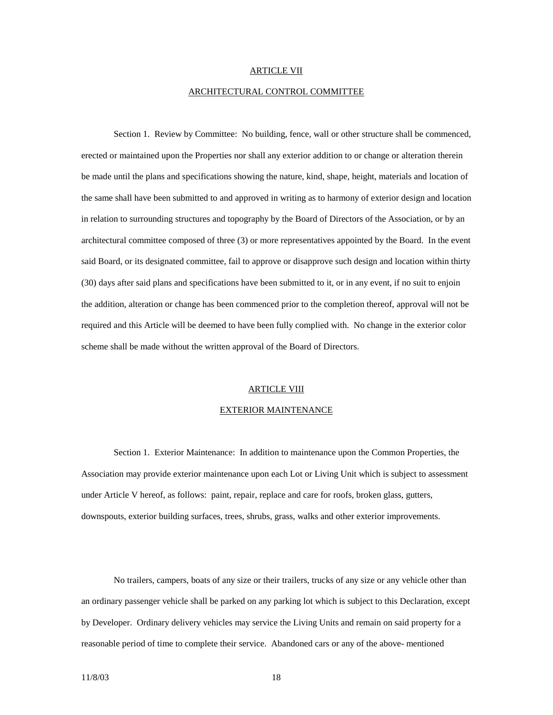#### ARTICLE VII

#### ARCHITECTURAL CONTROL COMMITTEE

 Section 1. Review by Committee: No building, fence, wall or other structure shall be commenced, erected or maintained upon the Properties nor shall any exterior addition to or change or alteration therein be made until the plans and specifications showing the nature, kind, shape, height, materials and location of the same shall have been submitted to and approved in writing as to harmony of exterior design and location in relation to surrounding structures and topography by the Board of Directors of the Association, or by an architectural committee composed of three (3) or more representatives appointed by the Board. In the event said Board, or its designated committee, fail to approve or disapprove such design and location within thirty (30) days after said plans and specifications have been submitted to it, or in any event, if no suit to enjoin the addition, alteration or change has been commenced prior to the completion thereof, approval will not be required and this Article will be deemed to have been fully complied with. No change in the exterior color scheme shall be made without the written approval of the Board of Directors.

#### ARTICLE VIII

#### EXTERIOR MAINTENANCE

 Section 1. Exterior Maintenance: In addition to maintenance upon the Common Properties, the Association may provide exterior maintenance upon each Lot or Living Unit which is subject to assessment under Article V hereof, as follows: paint, repair, replace and care for roofs, broken glass, gutters, downspouts, exterior building surfaces, trees, shrubs, grass, walks and other exterior improvements.

 No trailers, campers, boats of any size or their trailers, trucks of any size or any vehicle other than an ordinary passenger vehicle shall be parked on any parking lot which is subject to this Declaration, except by Developer. Ordinary delivery vehicles may service the Living Units and remain on said property for a reasonable period of time to complete their service. Abandoned cars or any of the above- mentioned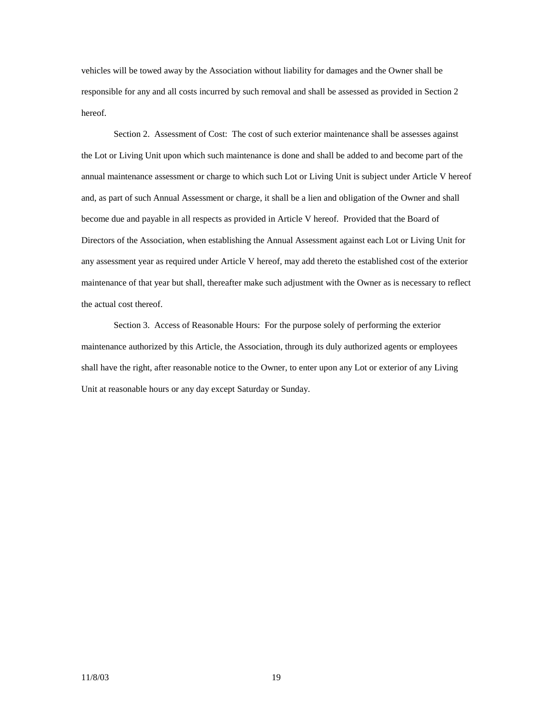vehicles will be towed away by the Association without liability for damages and the Owner shall be responsible for any and all costs incurred by such removal and shall be assessed as provided in Section 2 hereof.

 Section 2. Assessment of Cost: The cost of such exterior maintenance shall be assesses against the Lot or Living Unit upon which such maintenance is done and shall be added to and become part of the annual maintenance assessment or charge to which such Lot or Living Unit is subject under Article V hereof and, as part of such Annual Assessment or charge, it shall be a lien and obligation of the Owner and shall become due and payable in all respects as provided in Article V hereof. Provided that the Board of Directors of the Association, when establishing the Annual Assessment against each Lot or Living Unit for any assessment year as required under Article V hereof, may add thereto the established cost of the exterior maintenance of that year but shall, thereafter make such adjustment with the Owner as is necessary to reflect the actual cost thereof.

 Section 3. Access of Reasonable Hours: For the purpose solely of performing the exterior maintenance authorized by this Article, the Association, through its duly authorized agents or employees shall have the right, after reasonable notice to the Owner, to enter upon any Lot or exterior of any Living Unit at reasonable hours or any day except Saturday or Sunday.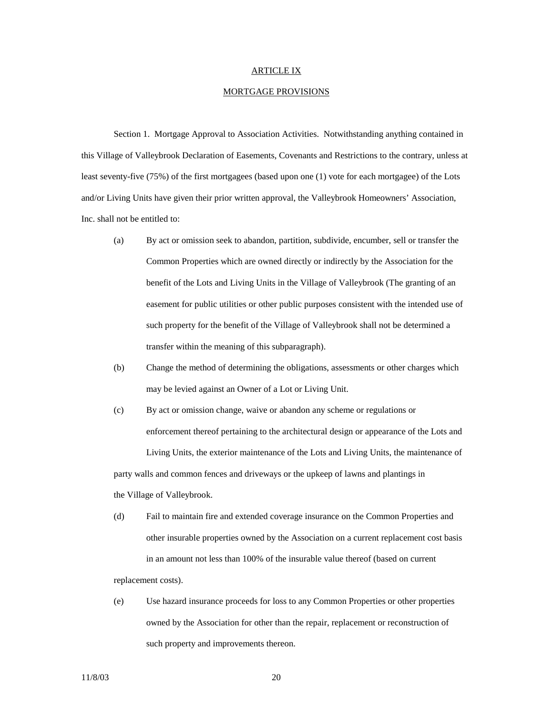## ARTICLE IX

#### MORTGAGE PROVISIONS

 Section 1. Mortgage Approval to Association Activities. Notwithstanding anything contained in this Village of Valleybrook Declaration of Easements, Covenants and Restrictions to the contrary, unless at least seventy-five (75%) of the first mortgagees (based upon one (1) vote for each mortgagee) of the Lots and/or Living Units have given their prior written approval, the Valleybrook Homeowners' Association, Inc. shall not be entitled to:

- (a) By act or omission seek to abandon, partition, subdivide, encumber, sell or transfer the Common Properties which are owned directly or indirectly by the Association for the benefit of the Lots and Living Units in the Village of Valleybrook (The granting of an easement for public utilities or other public purposes consistent with the intended use of such property for the benefit of the Village of Valleybrook shall not be determined a transfer within the meaning of this subparagraph).
- (b) Change the method of determining the obligations, assessments or other charges which may be levied against an Owner of a Lot or Living Unit.
- (c) By act or omission change, waive or abandon any scheme or regulations or enforcement thereof pertaining to the architectural design or appearance of the Lots and Living Units, the exterior maintenance of the Lots and Living Units, the maintenance of party walls and common fences and driveways or the upkeep of lawns and plantings in the Village of Valleybrook.
- (d) Fail to maintain fire and extended coverage insurance on the Common Properties and other insurable properties owned by the Association on a current replacement cost basis in an amount not less than 100% of the insurable value thereof (based on current replacement costs).
- (e) Use hazard insurance proceeds for loss to any Common Properties or other properties owned by the Association for other than the repair, replacement or reconstruction of such property and improvements thereon.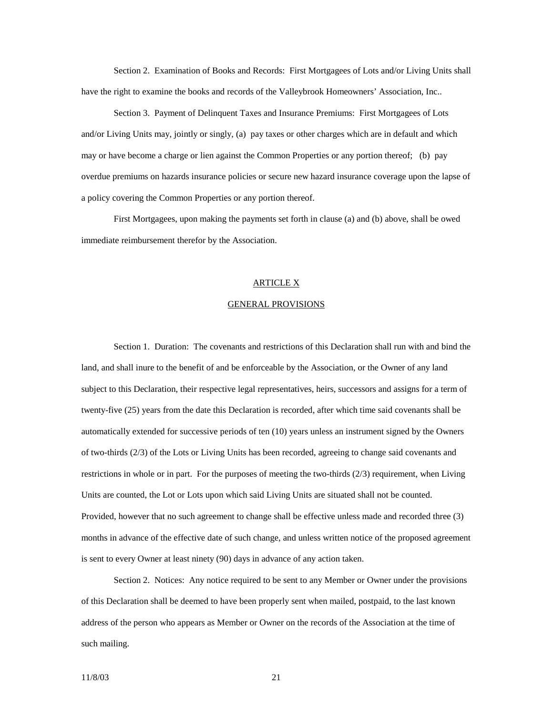Section 2. Examination of Books and Records: First Mortgagees of Lots and/or Living Units shall have the right to examine the books and records of the Valleybrook Homeowners' Association, Inc..

 Section 3. Payment of Delinquent Taxes and Insurance Premiums: First Mortgagees of Lots and/or Living Units may, jointly or singly, (a) pay taxes or other charges which are in default and which may or have become a charge or lien against the Common Properties or any portion thereof; (b) pay overdue premiums on hazards insurance policies or secure new hazard insurance coverage upon the lapse of a policy covering the Common Properties or any portion thereof.

 First Mortgagees, upon making the payments set forth in clause (a) and (b) above, shall be owed immediate reimbursement therefor by the Association.

## ARTICLE X

## GENERAL PROVISIONS

 Section 1. Duration: The covenants and restrictions of this Declaration shall run with and bind the land, and shall inure to the benefit of and be enforceable by the Association, or the Owner of any land subject to this Declaration, their respective legal representatives, heirs, successors and assigns for a term of twenty-five (25) years from the date this Declaration is recorded, after which time said covenants shall be automatically extended for successive periods of ten (10) years unless an instrument signed by the Owners of two-thirds (2/3) of the Lots or Living Units has been recorded, agreeing to change said covenants and restrictions in whole or in part. For the purposes of meeting the two-thirds  $(2/3)$  requirement, when Living Units are counted, the Lot or Lots upon which said Living Units are situated shall not be counted. Provided, however that no such agreement to change shall be effective unless made and recorded three (3) months in advance of the effective date of such change, and unless written notice of the proposed agreement is sent to every Owner at least ninety (90) days in advance of any action taken.

 Section 2. Notices: Any notice required to be sent to any Member or Owner under the provisions of this Declaration shall be deemed to have been properly sent when mailed, postpaid, to the last known address of the person who appears as Member or Owner on the records of the Association at the time of such mailing.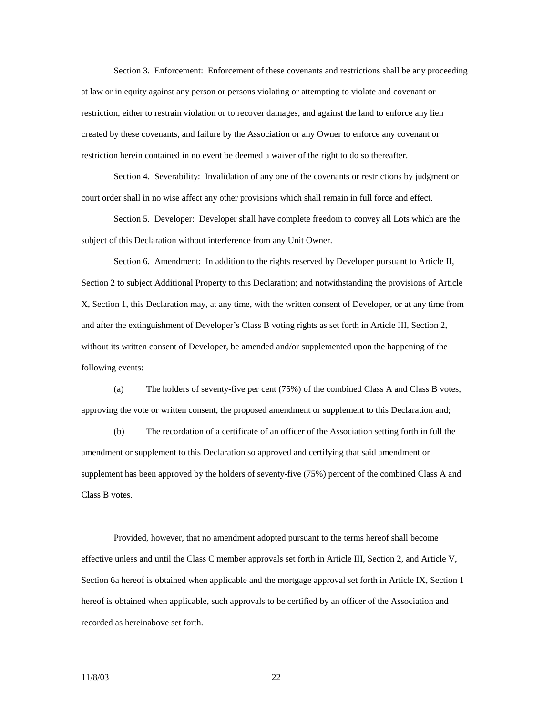Section 3. Enforcement: Enforcement of these covenants and restrictions shall be any proceeding at law or in equity against any person or persons violating or attempting to violate and covenant or restriction, either to restrain violation or to recover damages, and against the land to enforce any lien created by these covenants, and failure by the Association or any Owner to enforce any covenant or restriction herein contained in no event be deemed a waiver of the right to do so thereafter.

 Section 4. Severability: Invalidation of any one of the covenants or restrictions by judgment or court order shall in no wise affect any other provisions which shall remain in full force and effect.

 Section 5. Developer: Developer shall have complete freedom to convey all Lots which are the subject of this Declaration without interference from any Unit Owner.

 Section 6. Amendment: In addition to the rights reserved by Developer pursuant to Article II, Section 2 to subject Additional Property to this Declaration; and notwithstanding the provisions of Article X, Section 1, this Declaration may, at any time, with the written consent of Developer, or at any time from and after the extinguishment of Developer's Class B voting rights as set forth in Article III, Section 2, without its written consent of Developer, be amended and/or supplemented upon the happening of the following events:

 (a) The holders of seventy-five per cent (75%) of the combined Class A and Class B votes, approving the vote or written consent, the proposed amendment or supplement to this Declaration and;

 (b) The recordation of a certificate of an officer of the Association setting forth in full the amendment or supplement to this Declaration so approved and certifying that said amendment or supplement has been approved by the holders of seventy-five (75%) percent of the combined Class A and Class B votes.

 Provided, however, that no amendment adopted pursuant to the terms hereof shall become effective unless and until the Class C member approvals set forth in Article III, Section 2, and Article V, Section 6a hereof is obtained when applicable and the mortgage approval set forth in Article IX, Section 1 hereof is obtained when applicable, such approvals to be certified by an officer of the Association and recorded as hereinabove set forth.